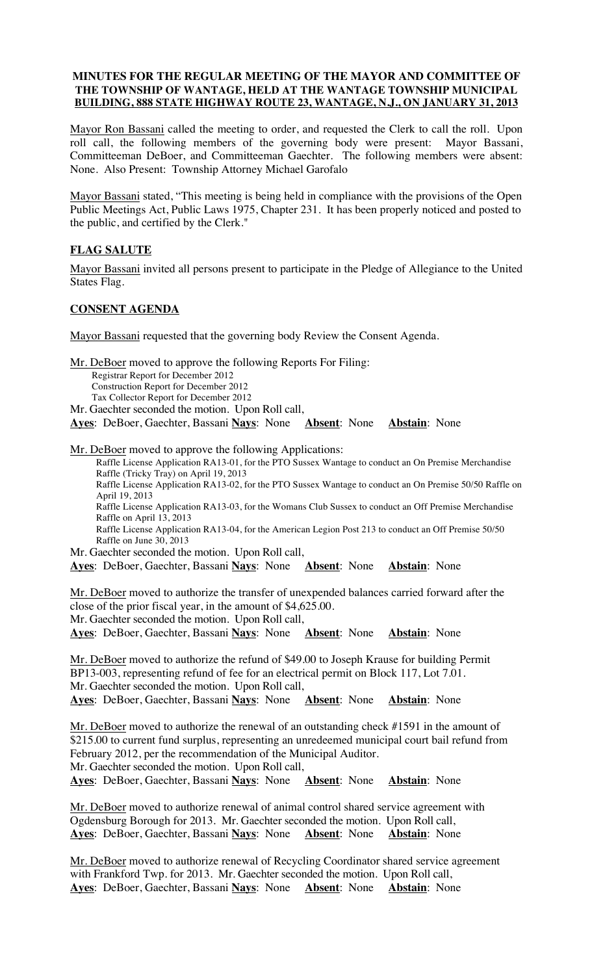# **MINUTES FOR THE REGULAR MEETING OF THE MAYOR AND COMMITTEE OF THE TOWNSHIP OF WANTAGE, HELD AT THE WANTAGE TOWNSHIP MUNICIPAL BUILDING, 888 STATE HIGHWAY ROUTE 23, WANTAGE, N.J., ON JANUARY 31, 2013**

Mayor Ron Bassani called the meeting to order, and requested the Clerk to call the roll. Upon roll call, the following members of the governing body were present: Mayor Bassani, Committeeman DeBoer, and Committeeman Gaechter. The following members were absent: None. Also Present: Township Attorney Michael Garofalo

Mayor Bassani stated, "This meeting is being held in compliance with the provisions of the Open Public Meetings Act, Public Laws 1975, Chapter 231. It has been properly noticed and posted to the public, and certified by the Clerk."

# **FLAG SALUTE**

Mayor Bassani invited all persons present to participate in the Pledge of Allegiance to the United States Flag.

# **CONSENT AGENDA**

Mayor Bassani requested that the governing body Review the Consent Agenda.

Mr. DeBoer moved to approve the following Reports For Filing:

Registrar Report for December 2012

Construction Report for December 2012

Tax Collector Report for December 2012

Mr. Gaechter seconded the motion. Upon Roll call,

**Ayes**: DeBoer, Gaechter, Bassani **Nays**: None **Absent**: None **Abstain**: None

Mr. DeBoer moved to approve the following Applications:

Raffle License Application RA13-01, for the PTO Sussex Wantage to conduct an On Premise Merchandise Raffle (Tricky Tray) on April 19, 2013 Raffle License Application RA13-02, for the PTO Sussex Wantage to conduct an On Premise 50/50 Raffle on April 19, 2013 Raffle License Application RA13-03, for the Womans Club Sussex to conduct an Off Premise Merchandise Raffle on April 13, 2013 Raffle License Application RA13-04, for the American Legion Post 213 to conduct an Off Premise 50/50 Raffle on June 30, 2013

Mr. Gaechter seconded the motion. Upon Roll call,

**Ayes**: DeBoer, Gaechter, Bassani **Nays**: None **Absent**: None **Abstain**: None

Mr. DeBoer moved to authorize the transfer of unexpended balances carried forward after the close of the prior fiscal year, in the amount of \$4,625.00. Mr. Gaechter seconded the motion. Upon Roll call,

**Ayes**: DeBoer, Gaechter, Bassani **Nays**: None **Absent**: None **Abstain**: None

Mr. DeBoer moved to authorize the refund of \$49.00 to Joseph Krause for building Permit BP13-003, representing refund of fee for an electrical permit on Block 117, Lot 7.01. Mr. Gaechter seconded the motion. Upon Roll call, **Ayes**: DeBoer, Gaechter, Bassani **Nays**: None **Absent**: None **Abstain**: None

Mr. DeBoer moved to authorize the renewal of an outstanding check #1591 in the amount of \$215.00 to current fund surplus, representing an unredeemed municipal court bail refund from February 2012, per the recommendation of the Municipal Auditor. Mr. Gaechter seconded the motion. Upon Roll call,

**Ayes**: DeBoer, Gaechter, Bassani **Nays**: None **Absent**: None **Abstain**: None

Mr. DeBoer moved to authorize renewal of animal control shared service agreement with Ogdensburg Borough for 2013. Mr. Gaechter seconded the motion. Upon Roll call, **Ayes**: DeBoer, Gaechter, Bassani **Nays**: None **Absent**: None **Abstain**: None

Mr. DeBoer moved to authorize renewal of Recycling Coordinator shared service agreement with Frankford Twp. for 2013. Mr. Gaechter seconded the motion. Upon Roll call, **Ayes**: DeBoer, Gaechter, Bassani **Nays**: None **Absent**: None **Abstain**: None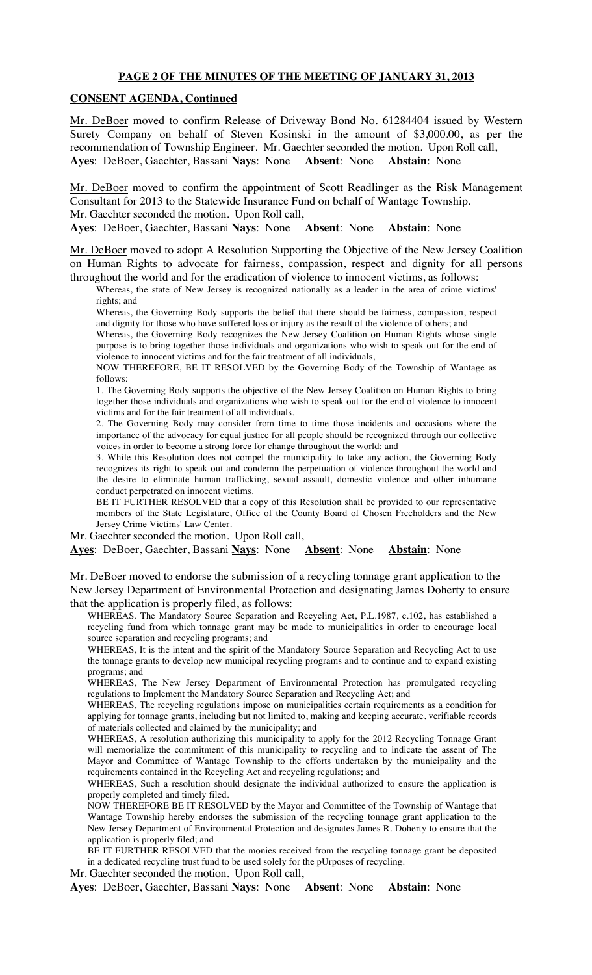#### **PAGE 2 OF THE MINUTES OF THE MEETING OF JANUARY 31, 2013**

#### **CONSENT AGENDA, Continued**

Mr. DeBoer moved to confirm Release of Driveway Bond No. 61284404 issued by Western Surety Company on behalf of Steven Kosinski in the amount of \$3,000.00, as per the recommendation of Township Engineer. Mr. Gaechter seconded the motion. Upon Roll call, **Ayes**: DeBoer, Gaechter, Bassani **Nays**: None **Absent**: None **Abstain**: None

Mr. DeBoer moved to confirm the appointment of Scott Readlinger as the Risk Management Consultant for 2013 to the Statewide Insurance Fund on behalf of Wantage Township. Mr. Gaechter seconded the motion. Upon Roll call,

**Ayes**: DeBoer, Gaechter, Bassani **Nays**: None **Absent**: None **Abstain**: None

Mr. DeBoer moved to adopt A Resolution Supporting the Objective of the New Jersey Coalition on Human Rights to advocate for fairness, compassion, respect and dignity for all persons throughout the world and for the eradication of violence to innocent victims, as follows:

Whereas, the state of New Jersey is recognized nationally as a leader in the area of crime victims' rights; and

Whereas, the Governing Body supports the belief that there should be fairness, compassion, respect and dignity for those who have suffered loss or injury as the result of the violence of others; and

Whereas, the Governing Body recognizes the New Jersey Coalition on Human Rights whose single purpose is to bring together those individuals and organizations who wish to speak out for the end of violence to innocent victims and for the fair treatment of all individuals,

NOW THEREFORE, BE IT RESOLVED by the Governing Body of the Township of Wantage as follows:

1. The Governing Body supports the objective of the New Jersey Coalition on Human Rights to bring together those individuals and organizations who wish to speak out for the end of violence to innocent victims and for the fair treatment of all individuals.

2. The Governing Body may consider from time to time those incidents and occasions where the importance of the advocacy for equal justice for all people should be recognized through our collective voices in order to become a strong force for change throughout the world; and

3. While this Resolution does not compel the municipality to take any action, the Governing Body recognizes its right to speak out and condemn the perpetuation of violence throughout the world and the desire to eliminate human trafficking, sexual assault, domestic violence and other inhumane conduct perpetrated on innocent victims.

BE IT FURTHER RESOLVED that a copy of this Resolution shall be provided to our representative members of the State Legislature, Office of the County Board of Chosen Freeholders and the New Jersey Crime Victims' Law Center.

Mr. Gaechter seconded the motion. Upon Roll call,

**Ayes**: DeBoer, Gaechter, Bassani **Nays**: None **Absent**: None **Abstain**: None

Mr. DeBoer moved to endorse the submission of a recycling tonnage grant application to the New Jersey Department of Environmental Protection and designating James Doherty to ensure that the application is properly filed, as follows:

WHEREAS. The Mandatory Source Separation and Recycling Act, P.L.1987, c.102, has established a recycling fund from which tonnage grant may be made to municipalities in order to encourage local source separation and recycling programs; and

WHEREAS, It is the intent and the spirit of the Mandatory Source Separation and Recycling Act to use the tonnage grants to develop new municipal recycling programs and to continue and to expand existing programs; and

WHEREAS, The New Jersey Department of Environmental Protection has promulgated recycling regulations to Implement the Mandatory Source Separation and Recycling Act; and

WHEREAS, The recycling regulations impose on municipalities certain requirements as a condition for applying for tonnage grants, including but not limited to, making and keeping accurate, verifiable records of materials collected and claimed by the municipality; and

WHEREAS, A resolution authorizing this municipality to apply for the 2012 Recycling Tonnage Grant will memorialize the commitment of this municipality to recycling and to indicate the assent of The Mayor and Committee of Wantage Township to the efforts undertaken by the municipality and the requirements contained in the Recycling Act and recycling regulations; and

WHEREAS, Such a resolution should designate the individual authorized to ensure the application is properly completed and timely filed.

NOW THEREFORE BE IT RESOLVED by the Mayor and Committee of the Township of Wantage that Wantage Township hereby endorses the submission of the recycling tonnage grant application to the New Jersey Department of Environmental Protection and designates James R. Doherty to ensure that the application is properly filed; and

BE IT FURTHER RESOLVED that the monies received from the recycling tonnage grant be deposited in a dedicated recycling trust fund to be used solely for the pUrposes of recycling.

Mr. Gaechter seconded the motion. Upon Roll call,

**Ayes**: DeBoer, Gaechter, Bassani **Nays**: None **Absent**: None **Abstain**: None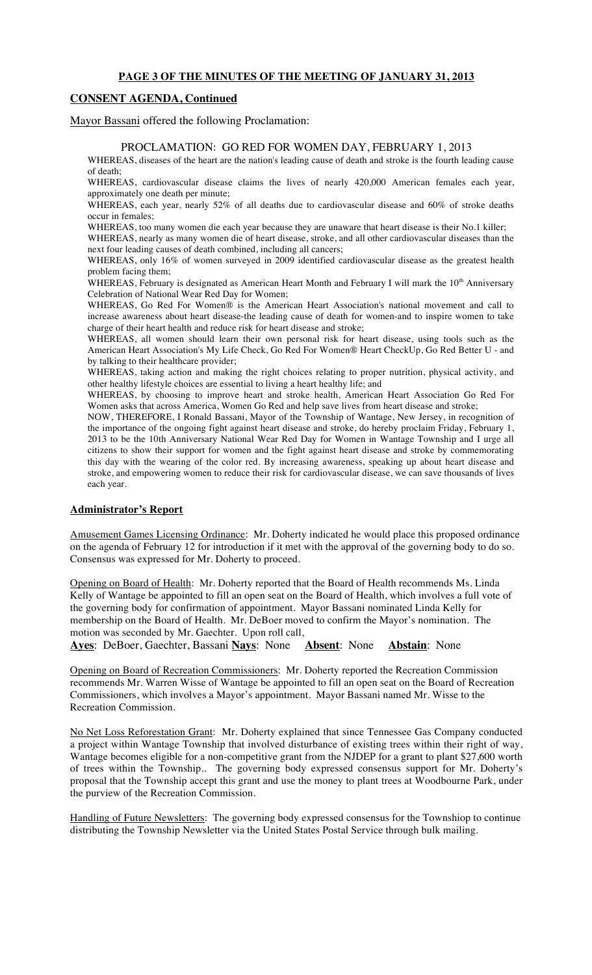#### **PAGE 3 OF THE MINUTES OF THE MEETING OF JANUARY 31, 2013**

### **CONSENT AGENDA, Continued**

Mayor Bassani offered the following Proclamation:

#### PROCLAMATION: GO RED FOR WOMEN DAY, FEBRUARY 1, 2013

WHEREAS, diseases of the heart are the nation's leading cause of death and stroke is the fourth leading cause of death;

WHEREAS, cardiovascular disease claims the lives of nearly 420,000 American females each year, approximately one death per minute;

WHEREAS, each year, nearly 52% of all deaths due to cardiovascular disease and 60% of stroke deaths occur in females;

WHEREAS, too many women die each year because they are unaware that heart disease is their No.1 killer; WHEREAS, nearly as many women die of heart disease, stroke, and all other cardiovascular diseases than the

next four leading causes of death combined, including all cancers; WHEREAS, only 16% of women surveyed in 2009 identified cardiovascular disease as the greatest health problem facing them;

WHEREAS, February is designated as American Heart Month and February I will mark the  $10<sup>th</sup>$  Anniversary Celebration of National Wear Red Day for Women;

WHEREAS, Go Red For Women® is the American Heart Association's national movement and call to increase awareness about heart disease-the leading cause of death for women-and to inspire women to take charge of their heart health and reduce risk for heart disease and stroke;

WHEREAS, all women should learn their own personal risk for heart disease, using tools such as the American Heart Association's My Life Check, Go Red For Women® Heart CheckUp, Go Red Better U - and by talking to their healthcare provider;

WHEREAS, taking action and making the right choices relating to proper nutrition, physical activity, and other healthy lifestyle choices are essential to living a heart healthy life; and

WHEREAS, by choosing to improve heart and stroke health, American Heart Association Go Red For Women asks that across America, Women Go Red and help save lives from heart disease and stroke;

NOW, THEREFORE, I Ronald Bassani, Mayor of the Township of Wantage, New Jersey, in recognition of the importance of the ongoing fight against heart disease and stroke, do hereby proclaim Friday, February 1, 2013 to be the 10th Anniversary National Wear Red Day for Women in Wantage Township and I urge all citizens to show their support for women and the fight against heart disease and stroke by commemorating this day with the wearing of the color red. By increasing awareness, speaking up about heart disease and stroke, and empowering women to reduce their risk for cardiovascular disease, we can save thousands of lives each year.

#### **Administrator's Report**

Amusement Games Licensing Ordinance: Mr. Doherty indicated he would place this proposed ordinance on the agenda of February 12 for introduction if it met with the approval of the governing body to do so. Consensus was expressed for Mr. Doherty to proceed.

Opening on Board of Health: Mr. Doherty reported that the Board of Health recommends Ms. Linda Kelly of Wantage be appointed to fill an open seat on the Board of Health, which involves a full vote of the governing body for confirmation of appointment. Mayor Bassani nominated Linda Kelly for membership on the Board of Health. Mr. DeBoer moved to confirm the Mayor's nomination. The motion was seconded by Mr. Gaechter. Upon roll call,

**Ayes**: DeBoer, Gaechter, Bassani **Nays**: None **Absent**: None **Abstain**: None

Opening on Board of Recreation Commissioners: Mr. Doherty reported the Recreation Commission recommends Mr. Warren Wisse of Wantage be appointed to fill an open seat on the Board of Recreation Commissioners, which involves a Mayor's appointment. Mayor Bassani named Mr. Wisse to the Recreation Commission.

No Net Loss Reforestation Grant: Mr. Doherty explained that since Tennessee Gas Company conducted a project within Wantage Township that involved disturbance of existing trees within their right of way, Wantage becomes eligible for a non-competitive grant from the NJDEP for a grant to plant \$27,600 worth of trees within the Township.. The governing body expressed consensus support for Mr. Doherty's proposal that the Township accept this grant and use the money to plant trees at Woodbourne Park, under the purview of the Recreation Commission.

Handling of Future Newsletters: The governing body expressed consensus for the Townshiop to continue distributing the Township Newsletter via the United States Postal Service through bulk mailing.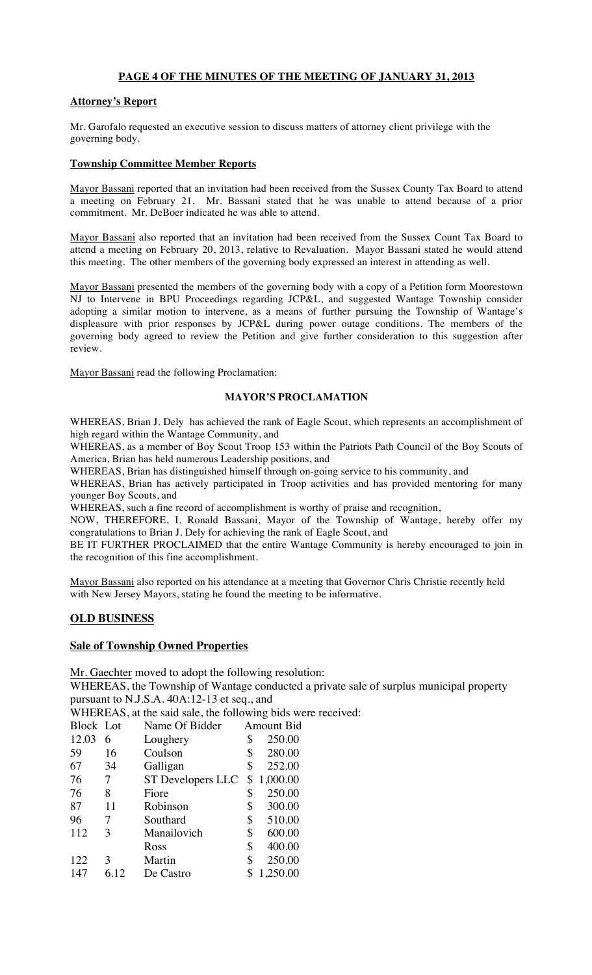# **PAGE 4 OF THE MINUTES OF THE MEETING OF JANUARY 31, 2013**

### **Attorney's Report**

Mr. Garofalo requested an executive session to discuss matters of attorney client privilege with the governing body.

#### **Township Committee Member Reports**

Mayor Bassani reported that an invitation had been received from the Sussex County Tax Board to attend a meeting on February 21. Mr. Bassani stated that he was unable to attend because of a prior commitment. Mr. DeBoer indicated he was able to attend.

Mayor Bassani also reported that an invitation had been received from the Sussex Count Tax Board to attend a meeting on February 20, 2013, relative to Revaluation. Mayor Bassani stated he would attend this meeting. The other members of the governing body expressed an interest in attending as well.

Mayor Bassani presented the members of the governing body with a copy of a Petition form Moorestown NJ to Intervene in BPU Proceedings regarding JCP&L, and suggested Wantage Township consider adopting a similar motion to intervene, as a means of further pursuing the Township of Wantage's displeasure with prior responses by JCP&L during power outage conditions. The members of the governing body agreed to review the Petition and give further consideration to this suggestion after review.

Mayor Bassani read the following Proclamation:

#### **MAYOR'S PROCLAMATION**

WHEREAS, Brian J. Dely has achieved the rank of Eagle Scout, which represents an accomplishment of high regard within the Wantage Community, and

WHEREAS, as a member of Boy Scout Troop 153 within the Patriots Path Council of the Boy Scouts of America, Brian has held numerous Leadership positions, and

WHEREAS, Brian has distinguished himself through on-going service to his community, and

WHEREAS, Brian has actively participated in Troop activities and has provided mentoring for many younger Boy Scouts, and

WHEREAS, such a fine record of accomplishment is worthy of praise and recognition,

NOW, THEREFORE, I, Ronald Bassani, Mayor of the Township of Wantage, hereby offer my congratulations to Brian J. Dely for achieving the rank of Eagle Scout, and

BE IT FURTHER PROCLAIMED that the entire Wantage Community is hereby encouraged to join in the recognition of this fine accomplishment.

Mayor Bassani also reported on his attendance at a meeting that Governor Chris Christie recently held with New Jersey Mayors, stating he found the meeting to be informative.

# **OLD BUSINESS**

#### **Sale of Township Owned Properties**

Mr. Gaechter moved to adopt the following resolution: WHEREAS, the Township of Wantage conducted a private sale of surplus municipal property pursuant to N.J.S.A. 40A:12-13 et seq., and

WHEREAS, at the said sale, the following bids were received:

| Block Lot |      | Name Of Bidder    | <b>Amount Bid</b> |
|-----------|------|-------------------|-------------------|
| 12.03     | 6    | Loughery          | \$<br>250.00      |
| 59        | 16   | Coulson           | \$<br>280.00      |
| 67        | 34   | Galligan          | \$<br>252.00      |
| 76        | 7    | ST Developers LLC | \$<br>1,000.00    |
| 76        | 8    | Fiore             | \$<br>250.00      |
| 87        | 11   | Robinson          | \$<br>300.00      |
| 96        | 7    | Southard          | \$<br>510.00      |
| 112       | 3    | Manailovich       | \$<br>600.00      |
|           |      | Ross              | \$<br>400.00      |
| 122       | 3    | Martin            | \$<br>250.00      |
| 147       | 6.12 | De Castro         | \$<br>1,250.00    |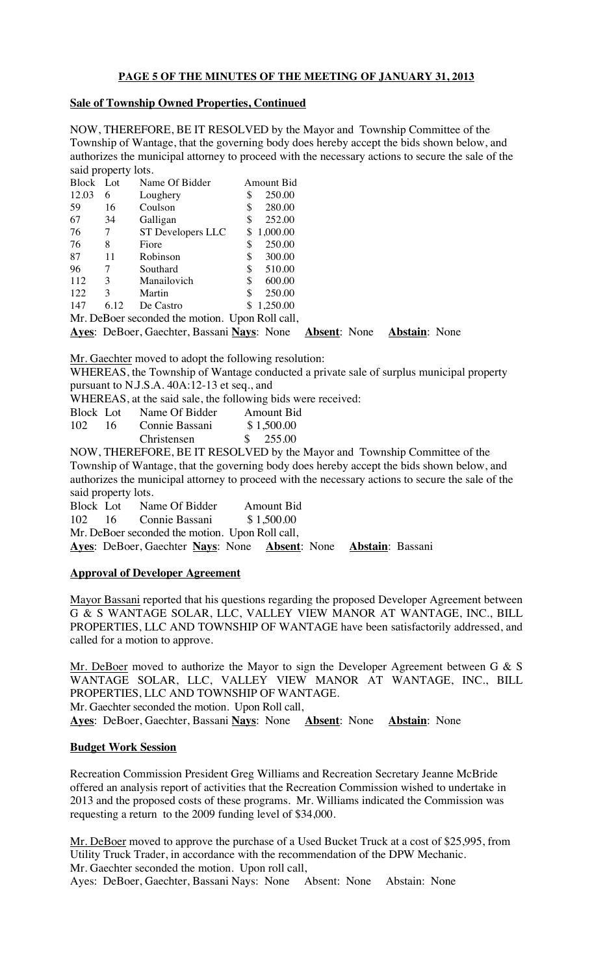# **PAGE 5 OF THE MINUTES OF THE MEETING OF JANUARY 31, 2013**

#### **Sale of Township Owned Properties, Continued**

NOW, THEREFORE, BE IT RESOLVED by the Mayor and Township Committee of the Township of Wantage, that the governing body does hereby accept the bids shown below, and authorizes the municipal attorney to proceed with the necessary actions to secure the sale of the said property lots.

| Block Lot                                       |      | Name Of Bidder                                          |    | Amount Bid |  |  |                      |  |
|-------------------------------------------------|------|---------------------------------------------------------|----|------------|--|--|----------------------|--|
| 12.03                                           | 6    | Loughery                                                | \$ | 250.00     |  |  |                      |  |
| 59                                              | 16   | Coulson                                                 | \$ | 280.00     |  |  |                      |  |
| 67                                              | 34   | Galligan                                                | \$ | 252.00     |  |  |                      |  |
| 76                                              | 7    | ST Developers LLC                                       |    | \$1,000.00 |  |  |                      |  |
| 76                                              | 8    | Fiore                                                   | \$ | 250.00     |  |  |                      |  |
| 87                                              | 11   | Robinson                                                | S  | 300.00     |  |  |                      |  |
| 96                                              | 7    | Southard                                                | \$ | 510.00     |  |  |                      |  |
| 112                                             | 3    | Manailovich                                             | S  | 600.00     |  |  |                      |  |
| 122                                             | 3    | Martin                                                  | S  | 250.00     |  |  |                      |  |
| 147                                             | 6.12 | De Castro                                               |    | \$1,250.00 |  |  |                      |  |
| Mr. DeBoer seconded the motion. Upon Roll call, |      |                                                         |    |            |  |  |                      |  |
|                                                 |      | Ayes: DeBoer, Gaechter, Bassani Nays: None Absent: None |    |            |  |  | <b>Abstain:</b> None |  |

Mr. Gaechter moved to adopt the following resolution:

WHEREAS, the Township of Wantage conducted a private sale of surplus municipal property pursuant to N.J.S.A. 40A:12-13 et seq., and

WHEREAS, at the said sale, the following bids were received:

| Block Lot        |    | Name Of Bidder | Amount Bid                         |  |
|------------------|----|----------------|------------------------------------|--|
| 102 <sub>1</sub> | 16 | Connie Bassani | \$1,500.00                         |  |
|                  |    | Christensen    | $\frac{\text{I}}{\text{I}}$ 255.00 |  |

NOW, THEREFORE, BE IT RESOLVED by the Mayor and Township Committee of the Township of Wantage, that the governing body does hereby accept the bids shown below, and authorizes the municipal attorney to proceed with the necessary actions to secure the sale of the said property lots.

| Block Lot                                       |  | Name Of Bidder                                 |  |  | Amount Bid |  |
|-------------------------------------------------|--|------------------------------------------------|--|--|------------|--|
|                                                 |  | 102 16 Connie Bassani                          |  |  | \$1,500.00 |  |
| Mr. DeBoer seconded the motion. Upon Roll call, |  |                                                |  |  |            |  |
|                                                 |  | Ayes: DeBoer, Gaechter Nays: None Absent: None |  |  |            |  |

# **Approval of Developer Agreement**

Mayor Bassani reported that his questions regarding the proposed Developer Agreement between G & S WANTAGE SOLAR, LLC, VALLEY VIEW MANOR AT WANTAGE, INC., BILL PROPERTIES, LLC AND TOWNSHIP OF WANTAGE have been satisfactorily addressed, and called for a motion to approve.

**Ayes**: DeBoer, Gaechter **Nays**: None **Absent**: None **Abstain**: Bassani

Mr. DeBoer moved to authorize the Mayor to sign the Developer Agreement between G & S WANTAGE SOLAR, LLC, VALLEY VIEW MANOR AT WANTAGE, INC., BILL PROPERTIES, LLC AND TOWNSHIP OF WANTAGE. Mr. Gaechter seconded the motion. Upon Roll call,

**Ayes**: DeBoer, Gaechter, Bassani **Nays**: None **Absent**: None **Abstain**: None

# **Budget Work Session**

Recreation Commission President Greg Williams and Recreation Secretary Jeanne McBride offered an analysis report of activities that the Recreation Commission wished to undertake in 2013 and the proposed costs of these programs. Mr. Williams indicated the Commission was requesting a return to the 2009 funding level of \$34,000.

Mr. DeBoer moved to approve the purchase of a Used Bucket Truck at a cost of \$25,995, from Utility Truck Trader, in accordance with the recommendation of the DPW Mechanic. Mr. Gaechter seconded the motion. Upon roll call, Ayes: DeBoer, Gaechter, Bassani Nays: None Absent: None Abstain: None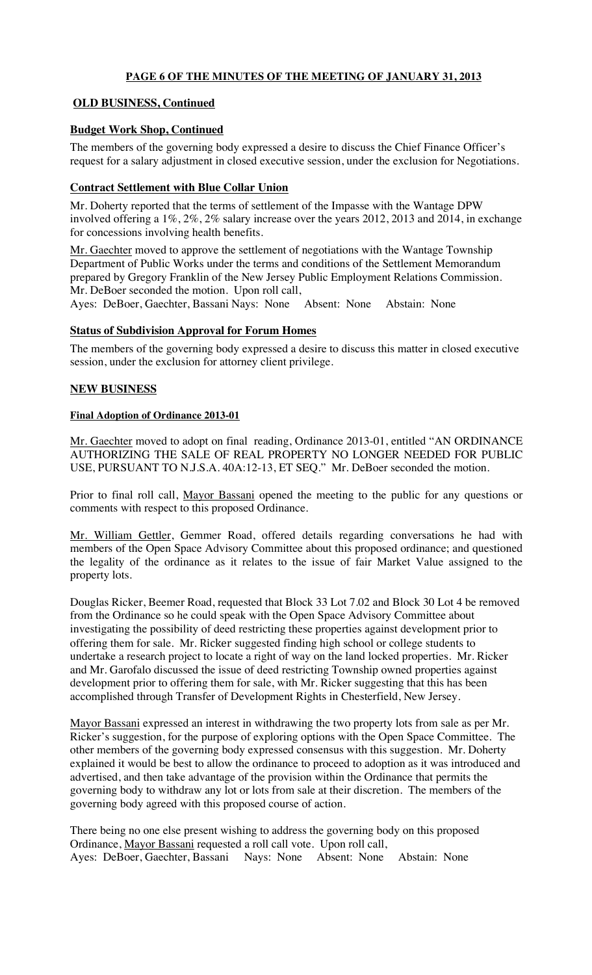# **PAGE 6 OF THE MINUTES OF THE MEETING OF JANUARY 31, 2013**

# **OLD BUSINESS, Continued**

# **Budget Work Shop, Continued**

The members of the governing body expressed a desire to discuss the Chief Finance Officer's request for a salary adjustment in closed executive session, under the exclusion for Negotiations.

# **Contract Settlement with Blue Collar Union**

Mr. Doherty reported that the terms of settlement of the Impasse with the Wantage DPW involved offering a 1%, 2%, 2% salary increase over the years 2012, 2013 and 2014, in exchange for concessions involving health benefits.

Mr. Gaechter moved to approve the settlement of negotiations with the Wantage Township Department of Public Works under the terms and conditions of the Settlement Memorandum prepared by Gregory Franklin of the New Jersey Public Employment Relations Commission. Mr. DeBoer seconded the motion. Upon roll call,

Ayes: DeBoer, Gaechter, Bassani Nays: None Absent: None Abstain: None

# **Status of Subdivision Approval for Forum Homes**

The members of the governing body expressed a desire to discuss this matter in closed executive session, under the exclusion for attorney client privilege.

# **NEW BUSINESS**

# **Final Adoption of Ordinance 2013-01**

Mr. Gaechter moved to adopt on final reading, Ordinance 2013-01, entitled "AN ORDINANCE AUTHORIZING THE SALE OF REAL PROPERTY NO LONGER NEEDED FOR PUBLIC USE, PURSUANT TO N.J.S.A. 40A:12-13, ET SEQ." Mr. DeBoer seconded the motion.

Prior to final roll call, Mayor Bassani opened the meeting to the public for any questions or comments with respect to this proposed Ordinance.

Mr. William Gettler, Gemmer Road, offered details regarding conversations he had with members of the Open Space Advisory Committee about this proposed ordinance; and questioned the legality of the ordinance as it relates to the issue of fair Market Value assigned to the property lots.

Douglas Ricker, Beemer Road, requested that Block 33 Lot 7.02 and Block 30 Lot 4 be removed from the Ordinance so he could speak with the Open Space Advisory Committee about investigating the possibility of deed restricting these properties against development prior to offering them for sale. Mr. Ricker suggested finding high school or college students to undertake a research project to locate a right of way on the land locked properties. Mr. Ricker and Mr. Garofalo discussed the issue of deed restricting Township owned properties against development prior to offering them for sale, with Mr. Ricker suggesting that this has been accomplished through Transfer of Development Rights in Chesterfield, New Jersey.

Mayor Bassani expressed an interest in withdrawing the two property lots from sale as per Mr. Ricker's suggestion, for the purpose of exploring options with the Open Space Committee. The other members of the governing body expressed consensus with this suggestion. Mr. Doherty explained it would be best to allow the ordinance to proceed to adoption as it was introduced and advertised, and then take advantage of the provision within the Ordinance that permits the governing body to withdraw any lot or lots from sale at their discretion. The members of the governing body agreed with this proposed course of action.

There being no one else present wishing to address the governing body on this proposed Ordinance, Mayor Bassani requested a roll call vote. Upon roll call, Ayes: DeBoer, Gaechter, Bassani Nays: None Absent: None Abstain: None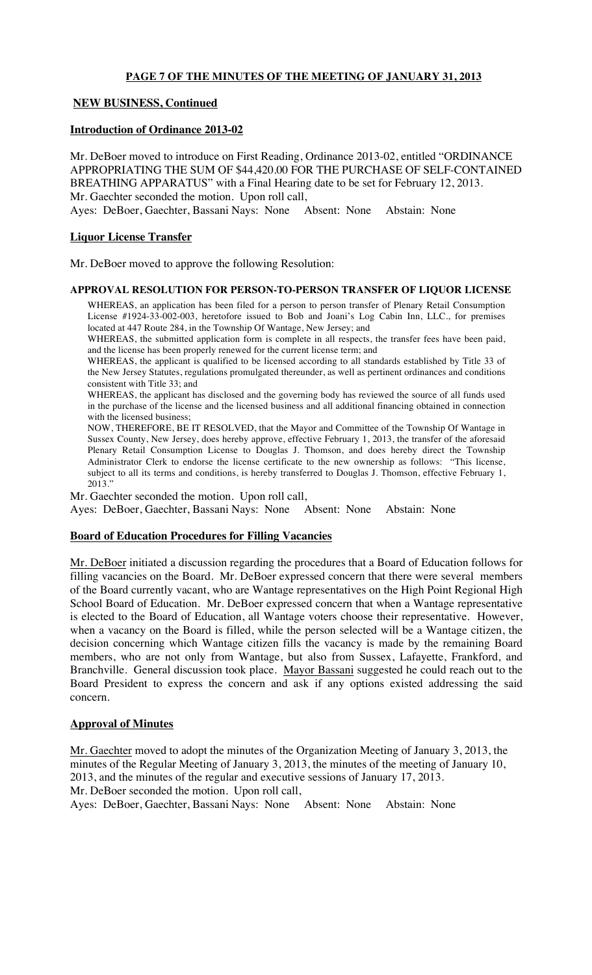### **PAGE 7 OF THE MINUTES OF THE MEETING OF JANUARY 31, 2013**

### **NEW BUSINESS, Continued**

#### **Introduction of Ordinance 2013-02**

Mr. DeBoer moved to introduce on First Reading, Ordinance 2013-02, entitled "ORDINANCE APPROPRIATING THE SUM OF \$44,420.00 FOR THE PURCHASE OF SELF-CONTAINED BREATHING APPARATUS" with a Final Hearing date to be set for February 12, 2013. Mr. Gaechter seconded the motion. Upon roll call, Ayes: DeBoer, Gaechter, Bassani Nays: None Absent: None Abstain: None

### **Liquor License Transfer**

Mr. DeBoer moved to approve the following Resolution:

#### **APPROVAL RESOLUTION FOR PERSON-TO-PERSON TRANSFER OF LIQUOR LICENSE**

WHEREAS, an application has been filed for a person to person transfer of Plenary Retail Consumption License #1924-33-002-003, heretofore issued to Bob and Joani's Log Cabin Inn, LLC., for premises located at 447 Route 284, in the Township Of Wantage, New Jersey; and

WHEREAS, the submitted application form is complete in all respects, the transfer fees have been paid, and the license has been properly renewed for the current license term; and

WHEREAS, the applicant is qualified to be licensed according to all standards established by Title 33 of the New Jersey Statutes, regulations promulgated thereunder, as well as pertinent ordinances and conditions consistent with Title 33; and

WHEREAS, the applicant has disclosed and the governing body has reviewed the source of all funds used in the purchase of the license and the licensed business and all additional financing obtained in connection with the licensed business;

NOW, THEREFORE, BE IT RESOLVED, that the Mayor and Committee of the Township Of Wantage in Sussex County, New Jersey, does hereby approve, effective February 1, 2013, the transfer of the aforesaid Plenary Retail Consumption License to Douglas J. Thomson, and does hereby direct the Township Administrator Clerk to endorse the license certificate to the new ownership as follows: "This license, subject to all its terms and conditions, is hereby transferred to Douglas J. Thomson, effective February 1, 2013."

Mr. Gaechter seconded the motion. Upon roll call,

Ayes: DeBoer, Gaechter, Bassani Nays: None Absent: None Abstain: None

#### **Board of Education Procedures for Filling Vacancies**

Mr. DeBoer initiated a discussion regarding the procedures that a Board of Education follows for filling vacancies on the Board. Mr. DeBoer expressed concern that there were several members of the Board currently vacant, who are Wantage representatives on the High Point Regional High School Board of Education. Mr. DeBoer expressed concern that when a Wantage representative is elected to the Board of Education, all Wantage voters choose their representative. However, when a vacancy on the Board is filled, while the person selected will be a Wantage citizen, the decision concerning which Wantage citizen fills the vacancy is made by the remaining Board members, who are not only from Wantage, but also from Sussex, Lafayette, Frankford, and Branchville. General discussion took place. Mayor Bassani suggested he could reach out to the Board President to express the concern and ask if any options existed addressing the said concern.

#### **Approval of Minutes**

Mr. Gaechter moved to adopt the minutes of the Organization Meeting of January 3, 2013, the minutes of the Regular Meeting of January 3, 2013, the minutes of the meeting of January 10, 2013, and the minutes of the regular and executive sessions of January 17, 2013. Mr. DeBoer seconded the motion. Upon roll call,

Ayes: DeBoer, Gaechter, Bassani Nays: None Absent: None Abstain: None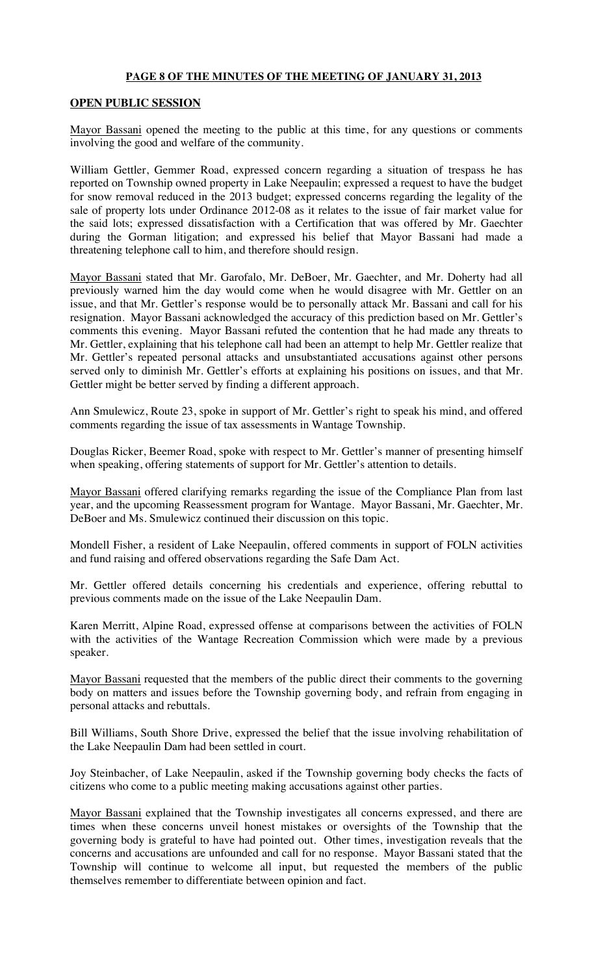### **PAGE 8 OF THE MINUTES OF THE MEETING OF JANUARY 31, 2013**

### **OPEN PUBLIC SESSION**

Mayor Bassani opened the meeting to the public at this time, for any questions or comments involving the good and welfare of the community.

William Gettler, Gemmer Road, expressed concern regarding a situation of trespass he has reported on Township owned property in Lake Neepaulin; expressed a request to have the budget for snow removal reduced in the 2013 budget; expressed concerns regarding the legality of the sale of property lots under Ordinance 2012-08 as it relates to the issue of fair market value for the said lots; expressed dissatisfaction with a Certification that was offered by Mr. Gaechter during the Gorman litigation; and expressed his belief that Mayor Bassani had made a threatening telephone call to him, and therefore should resign.

Mayor Bassani stated that Mr. Garofalo, Mr. DeBoer, Mr. Gaechter, and Mr. Doherty had all previously warned him the day would come when he would disagree with Mr. Gettler on an issue, and that Mr. Gettler's response would be to personally attack Mr. Bassani and call for his resignation. Mayor Bassani acknowledged the accuracy of this prediction based on Mr. Gettler's comments this evening. Mayor Bassani refuted the contention that he had made any threats to Mr. Gettler, explaining that his telephone call had been an attempt to help Mr. Gettler realize that Mr. Gettler's repeated personal attacks and unsubstantiated accusations against other persons served only to diminish Mr. Gettler's efforts at explaining his positions on issues, and that Mr. Gettler might be better served by finding a different approach.

Ann Smulewicz, Route 23, spoke in support of Mr. Gettler's right to speak his mind, and offered comments regarding the issue of tax assessments in Wantage Township.

Douglas Ricker, Beemer Road, spoke with respect to Mr. Gettler's manner of presenting himself when speaking, offering statements of support for Mr. Gettler's attention to details.

Mayor Bassani offered clarifying remarks regarding the issue of the Compliance Plan from last year, and the upcoming Reassessment program for Wantage. Mayor Bassani, Mr. Gaechter, Mr. DeBoer and Ms. Smulewicz continued their discussion on this topic.

Mondell Fisher, a resident of Lake Neepaulin, offered comments in support of FOLN activities and fund raising and offered observations regarding the Safe Dam Act.

Mr. Gettler offered details concerning his credentials and experience, offering rebuttal to previous comments made on the issue of the Lake Neepaulin Dam.

Karen Merritt, Alpine Road, expressed offense at comparisons between the activities of FOLN with the activities of the Wantage Recreation Commission which were made by a previous speaker.

Mayor Bassani requested that the members of the public direct their comments to the governing body on matters and issues before the Township governing body, and refrain from engaging in personal attacks and rebuttals.

Bill Williams, South Shore Drive, expressed the belief that the issue involving rehabilitation of the Lake Neepaulin Dam had been settled in court.

Joy Steinbacher, of Lake Neepaulin, asked if the Township governing body checks the facts of citizens who come to a public meeting making accusations against other parties.

Mayor Bassani explained that the Township investigates all concerns expressed, and there are times when these concerns unveil honest mistakes or oversights of the Township that the governing body is grateful to have had pointed out. Other times, investigation reveals that the concerns and accusations are unfounded and call for no response. Mayor Bassani stated that the Township will continue to welcome all input, but requested the members of the public themselves remember to differentiate between opinion and fact.